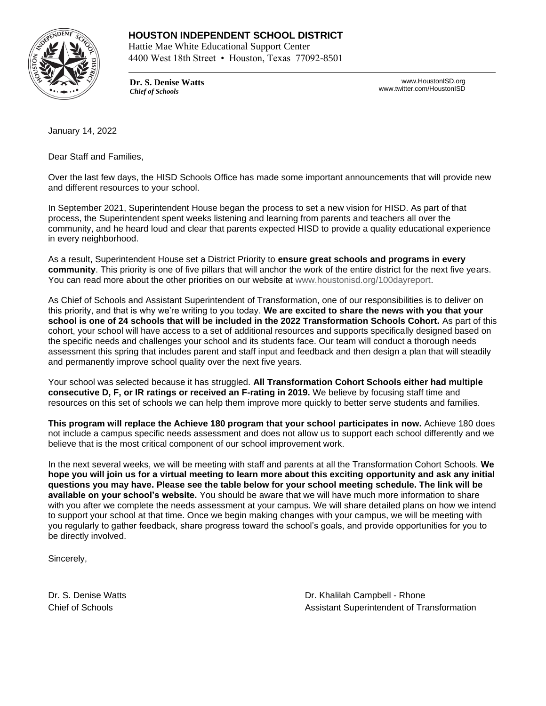

Hattie Mae White Educational Support Center 4400 West 18th Street • Houston, Texas 77092-8501

**Dr. S. Denise Watts** *Chief of Schools*

www.HoustonISD.org www.twitter.com/HoustonISD

January 14, 2022

Dear Staff and Families,

Over the last few days, the HISD Schools Office has made some important announcements that will provide new and different resources to your school.

In September 2021, Superintendent House began the process to set a new vision for HISD. As part of that process, the Superintendent spent weeks listening and learning from parents and teachers all over the community, and he heard loud and clear that parents expected HISD to provide a quality educational experience in every neighborhood.

As a result, Superintendent House set a District Priority to **ensure great schools and programs in every community**. This priority is one of five pillars that will anchor the work of the entire district for the next five years. You can read more about the other priorities on our website at [www.houstonisd.org/100dayreport.](http://www.houstonisd.org/100dayreport)

As Chief of Schools and Assistant Superintendent of Transformation, one of our responsibilities is to deliver on this priority, and that is why we're writing to you today. **We are excited to share the news with you that your school is one of 24 schools that will be included in the 2022 Transformation Schools Cohort.** As part of this cohort, your school will have access to a set of additional resources and supports specifically designed based on the specific needs and challenges your school and its students face. Our team will conduct a thorough needs assessment this spring that includes parent and staff input and feedback and then design a plan that will steadily and permanently improve school quality over the next five years.

Your school was selected because it has struggled. **All Transformation Cohort Schools either had multiple consecutive D, F, or IR ratings or received an F-rating in 2019.** We believe by focusing staff time and resources on this set of schools we can help them improve more quickly to better serve students and families.

**This program will replace the Achieve 180 program that your school participates in now.** Achieve 180 does not include a campus specific needs assessment and does not allow us to support each school differently and we believe that is the most critical component of our school improvement work.

In the next several weeks, we will be meeting with staff and parents at all the Transformation Cohort Schools. **We hope you will join us for a virtual meeting to learn more about this exciting opportunity and ask any initial questions you may have. Please see the table below for your school meeting schedule. The link will be available on your school's website.** You should be aware that we will have much more information to share with you after we complete the needs assessment at your campus. We will share detailed plans on how we intend to support your school at that time. Once we begin making changes with your campus, we will be meeting with you regularly to gather feedback, share progress toward the school's goals, and provide opportunities for you to be directly involved.

Sincerely,

Dr. S. Denise Watts **Dr. Khalilah Campbell - Rhone** Chief of Schools **Assistant Superintendent of Transformation**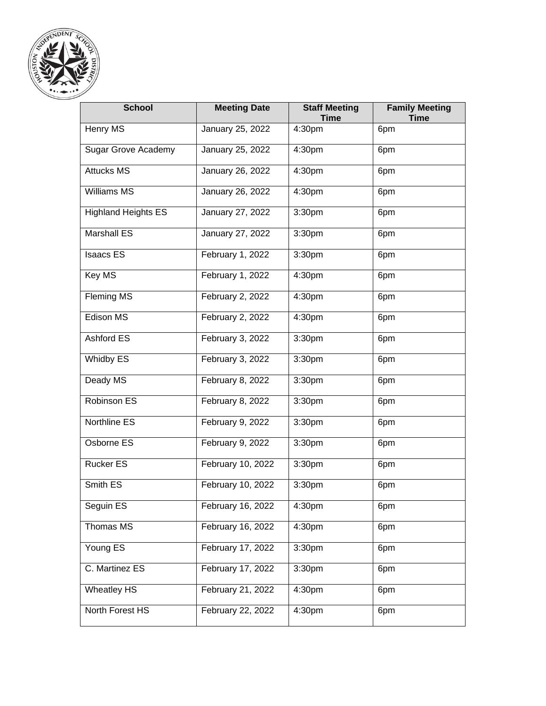

| <b>School</b>              | <b>Meeting Date</b> | <b>Staff Meeting</b><br><b>Time</b> | <b>Family Meeting</b><br><b>Time</b> |
|----------------------------|---------------------|-------------------------------------|--------------------------------------|
| Henry MS                   | January 25, 2022    | 4:30pm                              | 6pm                                  |
| <b>Sugar Grove Academy</b> | January 25, 2022    | 4:30pm                              | 6pm                                  |
| <b>Attucks MS</b>          | January 26, 2022    | 4:30pm                              | 6pm                                  |
| <b>Williams MS</b>         | January 26, 2022    | 4:30pm                              | 6pm                                  |
| <b>Highland Heights ES</b> | January 27, 2022    | 3:30pm                              | 6pm                                  |
| Marshall ES                | January 27, 2022    | 3:30pm                              | 6pm                                  |
| <b>Isaacs ES</b>           | February 1, 2022    | 3:30pm                              | 6pm                                  |
| Key MS                     | February 1, 2022    | 4:30pm                              | 6pm                                  |
| Fleming MS                 | February 2, 2022    | 4:30pm                              | 6pm                                  |
| Edison MS                  | February 2, 2022    | 4:30pm                              | 6pm                                  |
| Ashford ES                 | February 3, 2022    | 3:30pm                              | 6pm                                  |
| Whidby ES                  | February 3, 2022    | 3:30pm                              | 6pm                                  |
| Deady MS                   | February 8, 2022    | 3:30pm                              | 6pm                                  |
| Robinson ES                | February 8, 2022    | 3:30pm                              | 6pm                                  |
| Northline ES               | February 9, 2022    | 3:30pm                              | 6pm                                  |
| Osborne ES                 | February 9, 2022    | 3:30pm                              | 6pm                                  |
| <b>Rucker ES</b>           | February 10, 2022   | 3:30pm                              | 6pm                                  |
| Smith ES                   | February 10, 2022   | 3:30pm                              | 6pm                                  |
| Seguin ES                  | February 16, 2022   | 4:30pm                              | 6pm                                  |
| Thomas MS                  | February 16, 2022   | 4:30pm                              | 6pm                                  |
| Young ES                   | February 17, 2022   | 3:30pm                              | 6pm                                  |
| C. Martinez ES             | February 17, 2022   | 3:30pm                              | 6pm                                  |
| <b>Wheatley HS</b>         | February 21, 2022   | 4:30pm                              | 6pm                                  |
| North Forest HS            | February 22, 2022   | 4:30pm                              | 6pm                                  |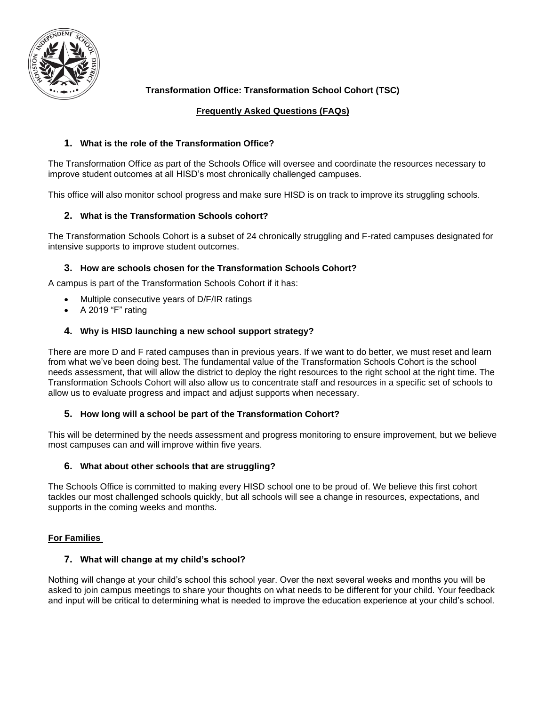

# **Transformation Office: Transformation School Cohort (TSC)**

## **Frequently Asked Questions (FAQs)**

## **1. What is the role of the Transformation Office?**

The Transformation Office as part of the Schools Office will oversee and coordinate the resources necessary to improve student outcomes at all HISD's most chronically challenged campuses.

This office will also monitor school progress and make sure HISD is on track to improve its struggling schools.

## **2. What is the Transformation Schools cohort?**

The Transformation Schools Cohort is a subset of 24 chronically struggling and F-rated campuses designated for intensive supports to improve student outcomes.

### **3. How are schools chosen for the Transformation Schools Cohort?**

A campus is part of the Transformation Schools Cohort if it has:

- Multiple consecutive years of D/F/IR ratings
- A 2019 "F" rating

## **4. Why is HISD launching a new school support strategy?**

There are more D and F rated campuses than in previous years. If we want to do better, we must reset and learn from what we've been doing best. The fundamental value of the Transformation Schools Cohort is the school needs assessment, that will allow the district to deploy the right resources to the right school at the right time. The Transformation Schools Cohort will also allow us to concentrate staff and resources in a specific set of schools to allow us to evaluate progress and impact and adjust supports when necessary.

### **5. How long will a school be part of the Transformation Cohort?**

This will be determined by the needs assessment and progress monitoring to ensure improvement, but we believe most campuses can and will improve within five years.

### **6. What about other schools that are struggling?**

The Schools Office is committed to making every HISD school one to be proud of. We believe this first cohort tackles our most challenged schools quickly, but all schools will see a change in resources, expectations, and supports in the coming weeks and months.

### **For Families**

### **7. What will change at my child's school?**

Nothing will change at your child's school this school year. Over the next several weeks and months you will be asked to join campus meetings to share your thoughts on what needs to be different for your child. Your feedback and input will be critical to determining what is needed to improve the education experience at your child's school.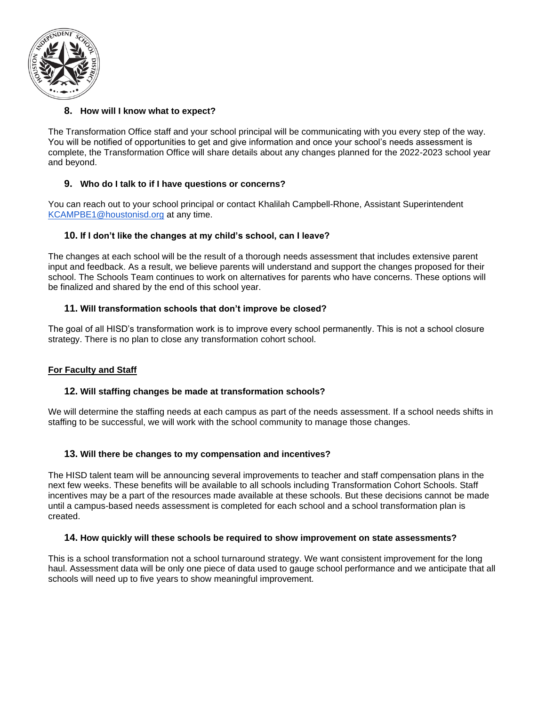

## **8. How will I know what to expect?**

The Transformation Office staff and your school principal will be communicating with you every step of the way. You will be notified of opportunities to get and give information and once your school's needs assessment is complete, the Transformation Office will share details about any changes planned for the 2022-2023 school year and beyond.

### **9. Who do I talk to if I have questions or concerns?**

You can reach out to your school principal or contact Khalilah Campbell-Rhone, Assistant Superintendent [KCAMPBE1@houstonisd.org](mailto:KCAMPBE1@houstonisd.org) at any time.

### **10. If I don't like the changes at my child's school, can I leave?**

The changes at each school will be the result of a thorough needs assessment that includes extensive parent input and feedback. As a result, we believe parents will understand and support the changes proposed for their school. The Schools Team continues to work on alternatives for parents who have concerns. These options will be finalized and shared by the end of this school year.

### **11. Will transformation schools that don't improve be closed?**

The goal of all HISD's transformation work is to improve every school permanently. This is not a school closure strategy. There is no plan to close any transformation cohort school.

### **For Faculty and Staff**

#### **12. Will staffing changes be made at transformation schools?**

We will determine the staffing needs at each campus as part of the needs assessment. If a school needs shifts in staffing to be successful, we will work with the school community to manage those changes.

### **13. Will there be changes to my compensation and incentives?**

The HISD talent team will be announcing several improvements to teacher and staff compensation plans in the next few weeks. These benefits will be available to all schools including Transformation Cohort Schools. Staff incentives may be a part of the resources made available at these schools. But these decisions cannot be made until a campus-based needs assessment is completed for each school and a school transformation plan is created.

#### **14. How quickly will these schools be required to show improvement on state assessments?**

This is a school transformation not a school turnaround strategy. We want consistent improvement for the long haul. Assessment data will be only one piece of data used to gauge school performance and we anticipate that all schools will need up to five years to show meaningful improvement.